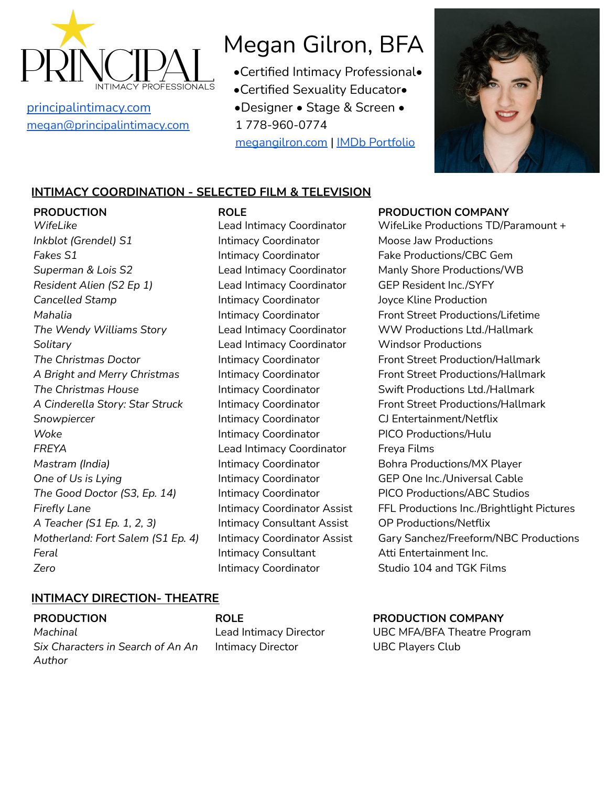

[megan@principalintimacy.com](mailto:megan@principalintimacy.com) 1 778-960-0774

# Megan Gilron, BFA

- •Certified Intimacy Professional•
- •Certified Sexuality Educator•
- [principalintimacy.com](https://www.principalintimacy.com/) •Designer Stage & Screen •

[megangilron.com](http://www.megangilron.com) | IMDb [Portfolio](https://www.imdb.com/name/nm3322032/)



## **INTIMACY COORDINATION - SELECTED FILM & TELEVISION**

**PRODUCTION ROLE PRODUCTION COMPANY** *Inkblot (Grendel)* S1 **Intimacy Coordinator** Moose Jaw Productions **Fakes S1 Intimacy Coordinator Fake Productions/CBC Gem** *Superman & Lois S2* Lead Intimacy Coordinator Manly Shore Productions/WB *Resident Alien (S2 Ep 1)* Lead Intimacy Coordinator GEP Resident Inc./SYFY **Cancelled Stamp Intimacy Coordinator** Joyce Kline Production *The Wendy Williams Story* Lead Intimacy Coordinator WW Productions Ltd./Hallmark *Solitary* Lead Intimacy Coordinator Windsor Productions *The Christmas House* Intimacy Coordinator Swift Productions Ltd./Hallmark *Snowpiercer* Intimacy Coordinator CJ Entertainment/Netflix **Woke Intimacy Coordinator** PICO Productions/Hulu *FREYA* Lead Intimacy Coordinator Freya Films *Mastram (India)* The *Intimacy Coordinator* Bohra Productions/MX Player **One** of Us is Lying **by** *is Lying* Intimacy Coordinator **GEP** One Inc./Universal Cable *The Good Doctor (S3, Ep. 14)* Intimacy Coordinator PICO Productions/ABC Studios *A Teacher (S1 Ep. 1, 2, 3)* Intimacy Consultant Assist OP Productions/Netflix **Feral Intimacy Consultant** Atti Entertainment Inc. **Zero** Intimacy Coordinator Studio 104 and TGK Films

*WifeLike* Lead Intimacy Coordinator WifeLike Productions TD/Paramount + *Mahalia* Intimacy Coordinator Front Street Productions/Lifetime *The Christmas Doctor* Intimacy Coordinator Front Street Production/Hallmark A *Bright* and *Merry Christmas* Intimacy Coordinator Front Street Productions/Hallmark *A Cinderella Story: Star Struck* Intimacy Coordinator Front Street Productions/Hallmark *Firefly Lane* Intimacy Coordinator Assist FFL Productions Inc./Brightlight Pictures *Motherland: Fort Salem (S1 Ep. 4)* Intimacy Coordinator Assist Gary Sanchez/Freeform/NBC Productions

### **INTIMACY DIRECTION- THEATRE**

**PRODUCTION ROLE PRODUCTION COMPANY** *Machinal* Lead Intimacy Director UBC MFA/BFA Theatre Program *Six Characters in Search of An An Author*

Intimacy Director UBC Players Club